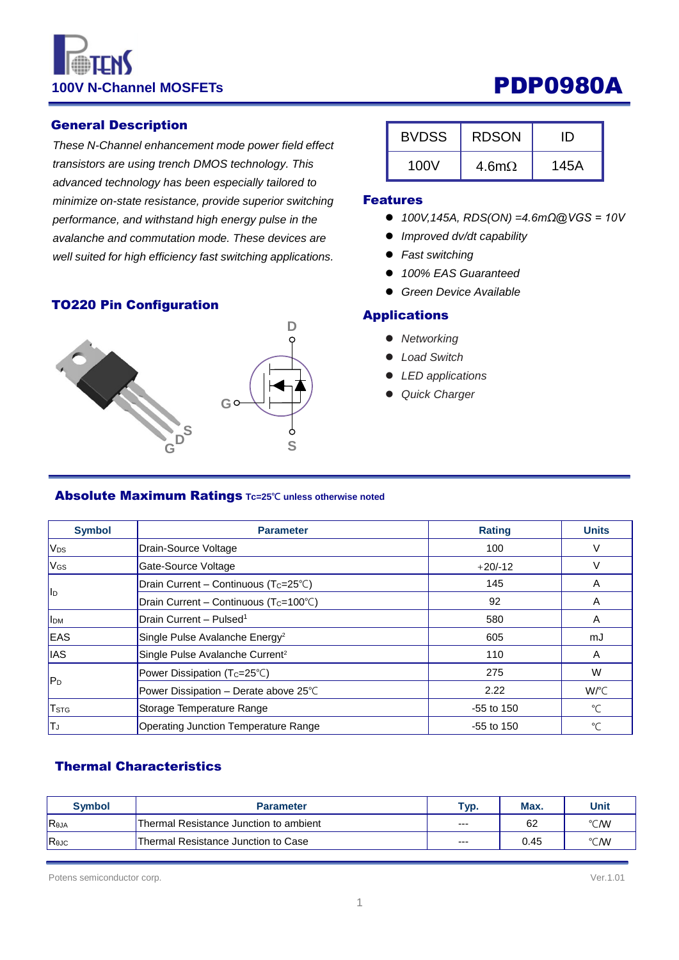# 100V N-Channel MOSFETs **PDP0980A**

#### General Description

*These N-Channel enhancement mode power field effect transistors are using trench DMOS technology. This advanced technology has been especially tailored to minimize on-state resistance, provide superior switching performance, and withstand high energy pulse in the avalanche and commutation mode. These devices are well suited for high efficiency fast switching applications.*

#### TO220 Pin Configuration



| <b>BVDSS</b> | <b>RDSON</b>  | נוו  |
|--------------|---------------|------|
| 100V         | 4.6m $\Omega$ | 145A |

#### Features

- *100V,145A, RDS(ON) =4.6mΩ@VGS = 10V*
- *Improved dv/dt capability*
- *Fast switching*
- *100% EAS Guaranteed*
- *Green Device Available*

#### Applications

- *Networking*
- *Load Switch*
- *LED applications*
- *Quick Charger*

#### Absolute Maximum Ratings **Tc=25℃ unless otherwise noted**

| <b>Symbol</b>           | <b>Parameter</b>                                   | <b>Rating</b> | <b>Units</b> |
|-------------------------|----------------------------------------------------|---------------|--------------|
| V <sub>DS</sub>         | Drain-Source Voltage                               | 100           | V            |
| <b>V<sub>GS</sub></b>   | Gate-Source Voltage                                | $+20/12$      | V            |
| <b>I</b> I <sub>D</sub> | Drain Current - Continuous (Tc=25°C)               | 145           | A            |
|                         | Drain Current - Continuous (T <sub>C</sub> =100°C) | 92            | A            |
| <b>I</b> <sub>DM</sub>  | Drain Current - Pulsed <sup>1</sup>                | 580           | A            |
| EAS                     | Single Pulse Avalanche Energy <sup>2</sup>         | 605           | mJ           |
| <b>IAS</b>              | Single Pulse Avalanche Current <sup>2</sup>        | 110           | A            |
|                         | Power Dissipation (Tc=25°C)                        | 275           | W            |
| lP <sub>D</sub>         | Power Dissipation - Derate above 25°C              | 2.22          | W/°C         |
| <b>T</b> <sub>STG</sub> | Storage Temperature Range                          | $-55$ to 150  | $^{\circ}$ C |
| TJ                      | Operating Junction Temperature Range               | $-55$ to 150  | °C           |

### Thermal Characteristics

| <b>Symbol</b> | <b>Parameter</b>                       | Typ.  | Max. | Unit |
|---------------|----------------------------------------|-------|------|------|
| Reja          | Thermal Resistance Junction to ambient | $--$  | 62   | °C/W |
| ReJC          | Thermal Resistance Junction to Case    | $---$ | 0.45 | °C/W |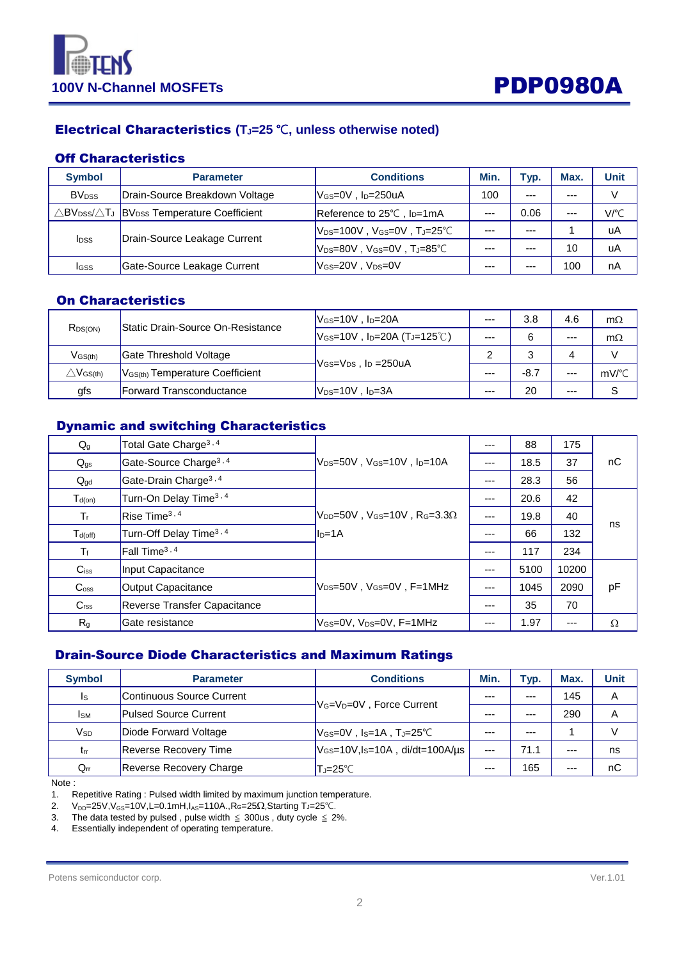



### Electrical Characteristics **(TJ=25** ℃**, unless otherwise noted)**

#### Off Characteristics

| <b>Symbol</b>            | <b>Parameter</b>                                                                          | <b>Conditions</b>                                                                                                                                | Min.    | Typ.    | Max.  | <b>Unit</b> |
|--------------------------|-------------------------------------------------------------------------------------------|--------------------------------------------------------------------------------------------------------------------------------------------------|---------|---------|-------|-------------|
| <b>BV</b> <sub>DSS</sub> | Drain-Source Breakdown Voltage                                                            | $V$ <sub>GS</sub> =0V, $I_D$ =250uA                                                                                                              | 100     | $- - -$ | $---$ | V           |
|                          | $\triangle$ BV <sub>DSS</sub> / $\triangle$ TJ  BV <sub>DSS</sub> Temperature Coefficient | Reference to 25°C, l <sub>D</sub> =1mA                                                                                                           | $---$   | 0.06    | $---$ | V/°C        |
| <b>I</b> <sub>DSS</sub>  | Drain-Source Leakage Current                                                              | $ V_{\text{DS}}$ =100V,V $_{\text{GS}}$ =0V,T」=25℃                                                                                               | $- - -$ | $- - -$ |       | uA          |
|                          |                                                                                           | $\mathsf{V}_{\texttt{DS}{=}\mathsf{80V}}$ , $\mathsf{V}_{\texttt{GS}{=}\mathsf{0V}}$ , $\mathsf{T}_{\mathsf{J}{=}\mathsf{85}^{\circ}\mathsf{C}}$ | $- - -$ |         | 10    | uA          |
| Igss                     | Gate-Source Leakage Current                                                               | $V$ <sub>GS=20</sub> V , $V_{DS}=0$ V                                                                                                            | $--$    | $- - -$ | 100   | nA          |

### On Characteristics

| R <sub>DS(ON)</sub>                | Static Drain-Source On-Resistance             | $V$ <sub>GS</sub> =10V, $I_D$ =20A                    | $--$    | 3.8    | 4.6   | $m\Omega$             |
|------------------------------------|-----------------------------------------------|-------------------------------------------------------|---------|--------|-------|-----------------------|
|                                    |                                               | $V_{GS}$ =10V, I <sub>D</sub> =20A (TJ=125°C)         | $- - -$ |        | $---$ | $m\Omega$             |
| $V$ <sub>GS<math>(th)</math></sub> | Gate Threshold Voltage                        |                                                       |         |        | Δ     |                       |
| $\triangle\mathsf{V}$ GS(th)       | $V$ <sub>GS(th)</sub> Temperature Coefficient | $V$ <sub>GS</sub> = $V_{DS}$ , I <sub>D</sub> = 250uA |         | $-8.7$ | ---   | $mV$ <sup>o</sup> $C$ |
| gfs                                | <b>IForward Transconductance</b>              | $\mathsf{IV}_{\mathsf{DS}}$ =10V , I $\mathsf{D}$ =3A | $---$   | 20     | ---   |                       |

### Dynamic and switching Characteristics

| $Q_g$              | Total Gate Charge <sup>3, 4</sup>                                               |                                                                          | $---$ | 88   | 175   |          |
|--------------------|---------------------------------------------------------------------------------|--------------------------------------------------------------------------|-------|------|-------|----------|
| $Q_{gs}$           | Gate-Source Charge <sup>3, 4</sup><br>$V_{DS}=50V$ , $V_{GS}=10V$ , $I_{D}=10A$ |                                                                          | $---$ | 18.5 | 37    | nC       |
| $Q_{gd}$           | Gate-Drain Charge <sup>3,4</sup>                                                |                                                                          | $---$ | 28.3 | 56    |          |
| $T_{d(on)}$        | Turn-On Delay Time <sup>3, 4</sup>                                              |                                                                          | $---$ | 20.6 | 42    |          |
| $T_{r}$            | Rise Time <sup>3, 4</sup>                                                       | $V_{\text{DD}}$ =50V, V <sub>GS</sub> =10V, R <sub>G</sub> =3.3 $\Omega$ | $---$ | 19.8 | 40    |          |
| $T_{d(off)}$       | Turn-Off Delay Time <sup>3, 4</sup>                                             | $I_{D=1A}$                                                               | $---$ | 66   | 132   | ns       |
| $T_f$              | [Fall Time <sup>3, 4</sup> ]                                                    |                                                                          | $---$ | 117  | 234   |          |
| $C$ <sub>iss</sub> | Input Capacitance                                                               |                                                                          | $---$ | 5100 | 10200 |          |
| $C_{\rm oss}$      | $V_{DS}=50V$ . $V_{GS}=0V$ . F=1MHz<br>Output Capacitance                       |                                                                          | $---$ | 1045 | 2090  | pF       |
| C <sub>rss</sub>   | Reverse Transfer Capacitance                                                    |                                                                          | $---$ | 35   | 70    |          |
| R <sub>g</sub>     | Gate resistance                                                                 | lVേs=0V. Vɒs=0V. F=1MHz∣                                                 | $---$ | 1.97 | ---   | $\Omega$ |

#### Drain-Source Diode Characteristics and Maximum Ratings

| <b>Symbol</b> | <b>Parameter</b>               | <b>Conditions</b>                                                            | Min.    | Typ.    | Max.  | <b>Unit</b> |
|---------------|--------------------------------|------------------------------------------------------------------------------|---------|---------|-------|-------------|
| Is            | Continuous Source Current      | V <sub>G</sub> =V <sub>D</sub> =0V, Force Current                            | ---     | $- - -$ | 145   | Α           |
| <b>I</b> sm   | <b>Pulsed Source Current</b>   |                                                                              | $- - -$ | $---$   | 290   | Α           |
| Vsd           | Diode Forward Voltage          | $V$ <sub>GS</sub> =0V, I <sub>S</sub> =1A, T <sub>J</sub> =25 <sup>°</sup> C | ---     | $- - -$ |       |             |
| trr           | <b>Reverse Recovery Time</b>   | $V$ Gs=10V,Is=10A, di/dt=100A/µs                                             | $- - -$ | 71.1    | $---$ | ns          |
| $Q_{rr}$      | <b>Reverse Recovery Charge</b> | $T_J = 25^{\circ}C$                                                          | ---     | 165     | $---$ | nC          |

Note :

1. Repetitive Rating : Pulsed width limited by maximum junction temperature.

2. V<sub>DD</sub>=25V,V<sub>GS</sub>=10V,L=0.1mH,I<sub>AS</sub>=110A.,R<sub>G</sub>=25 $\Omega$ ,Starting TJ=25°C.

3. The data tested by pulsed, pulse width  $\leq 300$ us, duty cycle  $\leq 2\%$ .

4. Essentially independent of operating temperature.

Potens semiconductor corp. Ver.1.01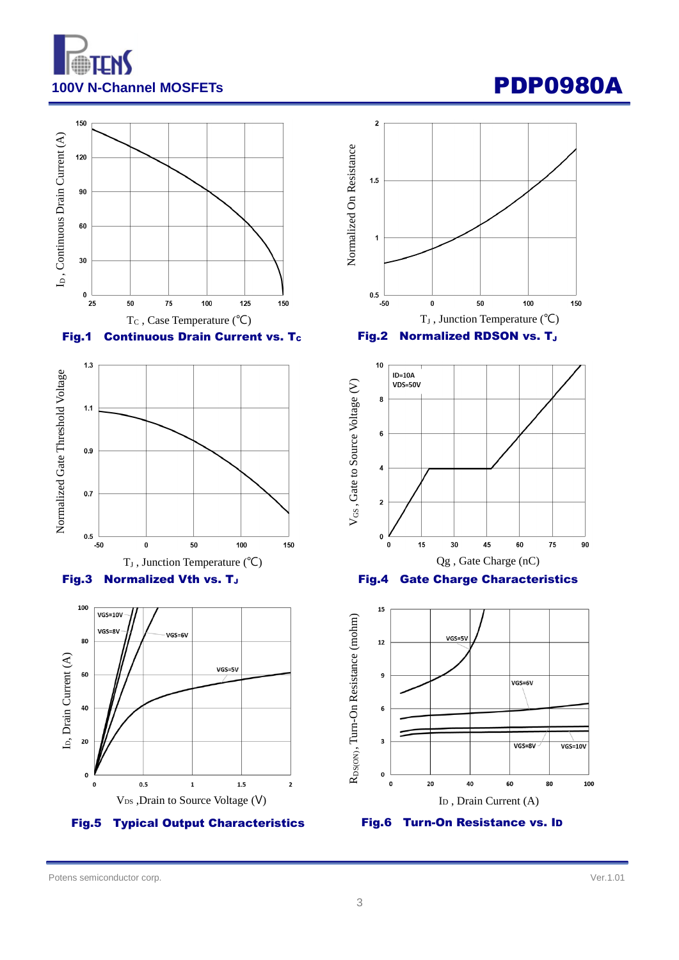

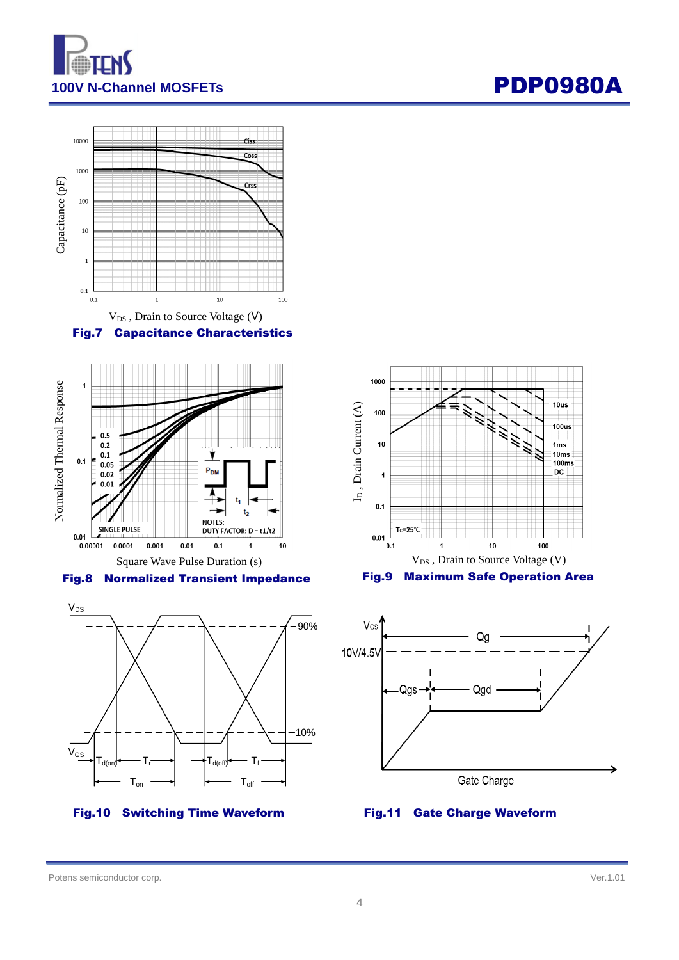![](_page_3_Picture_0.jpeg)

![](_page_3_Figure_2.jpeg)

![](_page_3_Figure_3.jpeg)

![](_page_3_Figure_5.jpeg)

#### Fig.10 Switching Time Waveform

![](_page_3_Figure_7.jpeg)

![](_page_3_Figure_8.jpeg)

#### Fig.11 Gate Charge Waveform